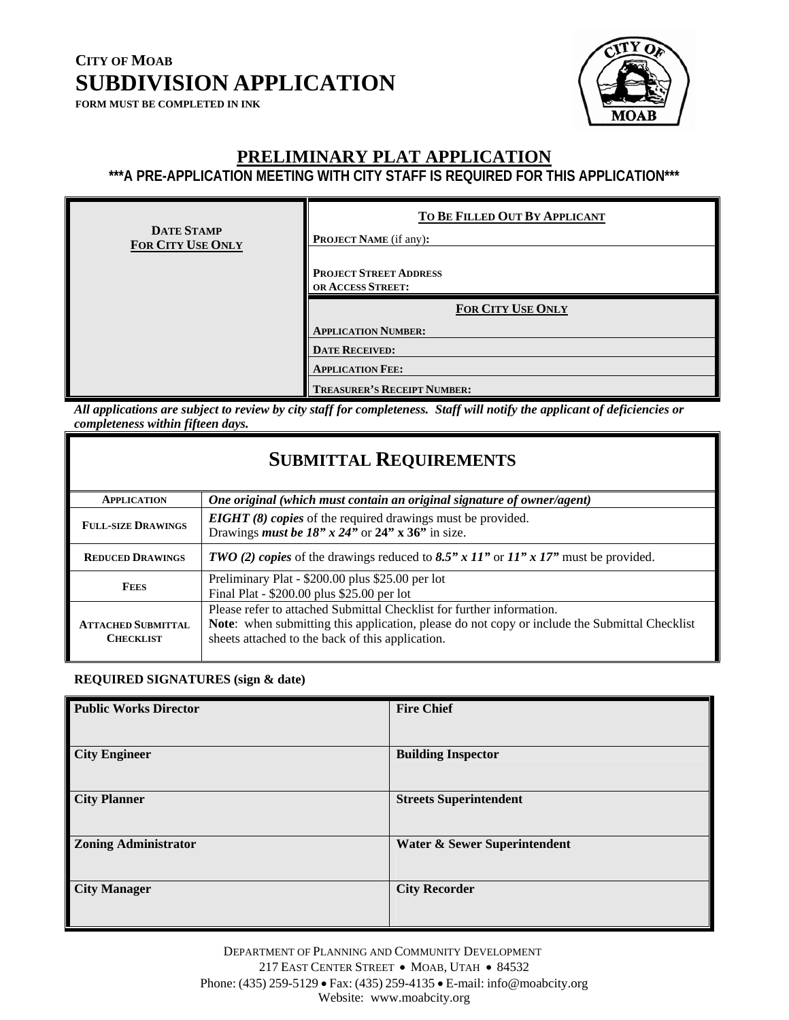**FORM MUST BE COMPLETED IN INK** 



### **PRELIMINARY PLAT APPLICATION**

**\*\*\*A PRE-APPLICATION MEETING WITH CITY STAFF IS REQUIRED FOR THIS APPLICATION\*\*\*** 

| <b>DATE STAMP</b><br><b>FOR CITY USE ONLY</b> | TO BE FILLED OUT BY APPLICANT<br><b>PROJECT NAME</b> (if any): |
|-----------------------------------------------|----------------------------------------------------------------|
|                                               | <b>PROJECT STREET ADDRESS</b><br>OR ACCESS STREET:             |
|                                               | FOR CITY USE ONLY                                              |
|                                               | <b>APPLICATION NUMBER:</b>                                     |
|                                               | <b>DATE RECEIVED:</b>                                          |
|                                               | <b>APPLICATION FEE:</b>                                        |
|                                               | <b>TREASURER'S RECEIPT NUMBER:</b>                             |

*All applications are subject to review by city staff for completeness. Staff will notify the applicant of deficiencies or completeness within fifteen days.*

### **SUBMITTAL REQUIREMENTS**

| <b>APPLICATION</b>                            | One original (which must contain an original signature of owner/agent)                                                                                                                                                            |
|-----------------------------------------------|-----------------------------------------------------------------------------------------------------------------------------------------------------------------------------------------------------------------------------------|
| <b>FULL-SIZE DRAWINGS</b>                     | <b>EIGHT</b> (8) copies of the required drawings must be provided.<br>Drawings <i>must be 18" x 24"</i> or $24$ " x 36" in size.                                                                                                  |
| <b>REDUCED DRAWINGS</b>                       | <b>TWO</b> (2) copies of the drawings reduced to 8.5" x 11" or $11"$ x 17" must be provided.                                                                                                                                      |
| <b>FEES</b>                                   | Preliminary Plat - \$200.00 plus \$25.00 per lot<br>Final Plat - \$200.00 plus \$25.00 per lot                                                                                                                                    |
| <b>ATTACHED SUBMITTAL</b><br><b>CHECKLIST</b> | Please refer to attached Submittal Checklist for further information.<br><b>Note:</b> when submitting this application, please do not copy or include the Submittal Checklist<br>sheets attached to the back of this application. |

#### **REQUIRED SIGNATURES (sign & date)**

| <b>Public Works Director</b> | <b>Fire Chief</b>             |
|------------------------------|-------------------------------|
| <b>City Engineer</b>         | <b>Building Inspector</b>     |
| <b>City Planner</b>          | <b>Streets Superintendent</b> |
| <b>Zoning Administrator</b>  | Water & Sewer Superintendent  |
| <b>City Manager</b>          | <b>City Recorder</b>          |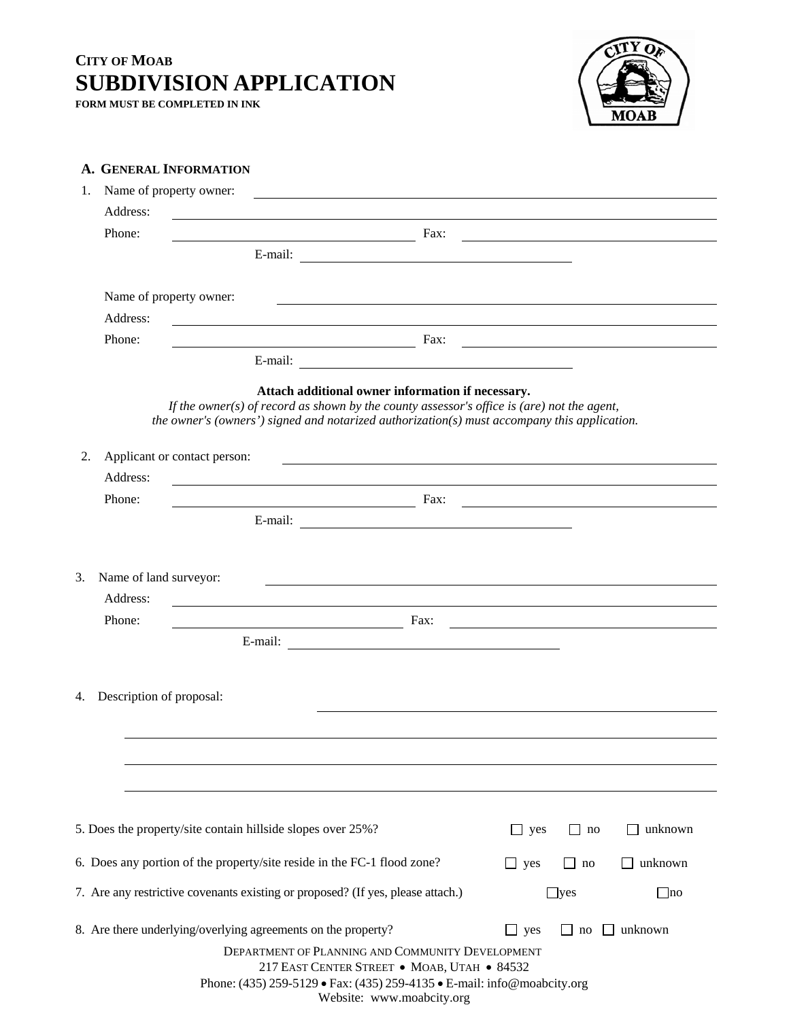**FORM MUST BE COMPLETED IN INK** 



| A. GENERAL INFORMATION                             |                                                                                                                                                                                                                                                     |                       |            |                                                   |
|----------------------------------------------------|-----------------------------------------------------------------------------------------------------------------------------------------------------------------------------------------------------------------------------------------------------|-----------------------|------------|---------------------------------------------------|
| Name of property owner:<br>1.                      | <u> 2000 - Andrea Andrew Maria (h. 1878).</u>                                                                                                                                                                                                       |                       |            |                                                   |
| Address:                                           | <u> 1989 - John Stein, Amerikaansk politiker (</u>                                                                                                                                                                                                  |                       |            |                                                   |
| Phone:                                             | $\frac{1}{2}$ Fax:                                                                                                                                                                                                                                  |                       |            |                                                   |
|                                                    |                                                                                                                                                                                                                                                     |                       |            |                                                   |
|                                                    |                                                                                                                                                                                                                                                     |                       |            |                                                   |
| Name of property owner:                            | <u> 2000 - Andrea Andrew Maria (h. 1888).</u>                                                                                                                                                                                                       |                       |            |                                                   |
| Address:                                           | <u> 1989 - Andrea Station Barbara, amerikan personal (h. 1989).</u>                                                                                                                                                                                 |                       |            |                                                   |
| Phone:                                             | $\frac{1}{2}$ Fax:                                                                                                                                                                                                                                  |                       |            |                                                   |
|                                                    |                                                                                                                                                                                                                                                     |                       |            |                                                   |
|                                                    | Attach additional owner information if necessary.<br>If the owner(s) of record as shown by the county assessor's office is (are) not the agent,<br>the owner's (owners') signed and notarized authorization( $s$ ) must accompany this application. |                       |            |                                                   |
| 2.<br>Address:                                     | Applicant or contact person:<br><u> 1989 - Johann Stoff, amerikansk politiker (d. 1989)</u>                                                                                                                                                         |                       |            |                                                   |
| Phone:                                             | <b>Example 2016</b> Fax: <u>Proposed by East 2016</u> Fax: 2016                                                                                                                                                                                     |                       |            |                                                   |
|                                                    |                                                                                                                                                                                                                                                     |                       |            |                                                   |
| 3.<br>Name of land surveyor:<br>Address:<br>Phone: | <u> 1980 - Jan Samuel Barbara, margaret eta idazlea (h. 1980).</u>                                                                                                                                                                                  |                       |            |                                                   |
|                                                    | $\overline{\phantom{a}}$ Fax:                                                                                                                                                                                                                       |                       |            | <u> 1980 - John Stone, amerikansk politiker (</u> |
|                                                    |                                                                                                                                                                                                                                                     |                       |            |                                                   |
| 4.<br>Description of proposal:                     |                                                                                                                                                                                                                                                     |                       |            |                                                   |
|                                                    |                                                                                                                                                                                                                                                     |                       |            |                                                   |
|                                                    |                                                                                                                                                                                                                                                     |                       |            |                                                   |
|                                                    |                                                                                                                                                                                                                                                     |                       |            |                                                   |
|                                                    | 5. Does the property/site contain hillside slopes over 25%?                                                                                                                                                                                         | $\Box$ yes            | $\Box$ no  | unknown                                           |
|                                                    | 6. Does any portion of the property/site reside in the FC-1 flood zone?                                                                                                                                                                             | $\Box$ yes            | no         | unknown                                           |
|                                                    | 7. Are any restrictive covenants existing or proposed? (If yes, please attach.)                                                                                                                                                                     |                       | $\Box$ yes | $\Box$ no                                         |
|                                                    | 8. Are there underlying/overlying agreements on the property?                                                                                                                                                                                       | yes<br>$\blacksquare$ | no         | unknown                                           |
|                                                    | DEPARTMENT OF PLANNING AND COMMUNITY DEVELOPMENT<br>217 EAST CENTER STREET . MOAB, UTAH . 84532<br>Phone: (435) 259-5129 • Fax: (435) 259-4135 • E-mail: info@moabcity.org                                                                          |                       |            |                                                   |

Website: www.moabcity.org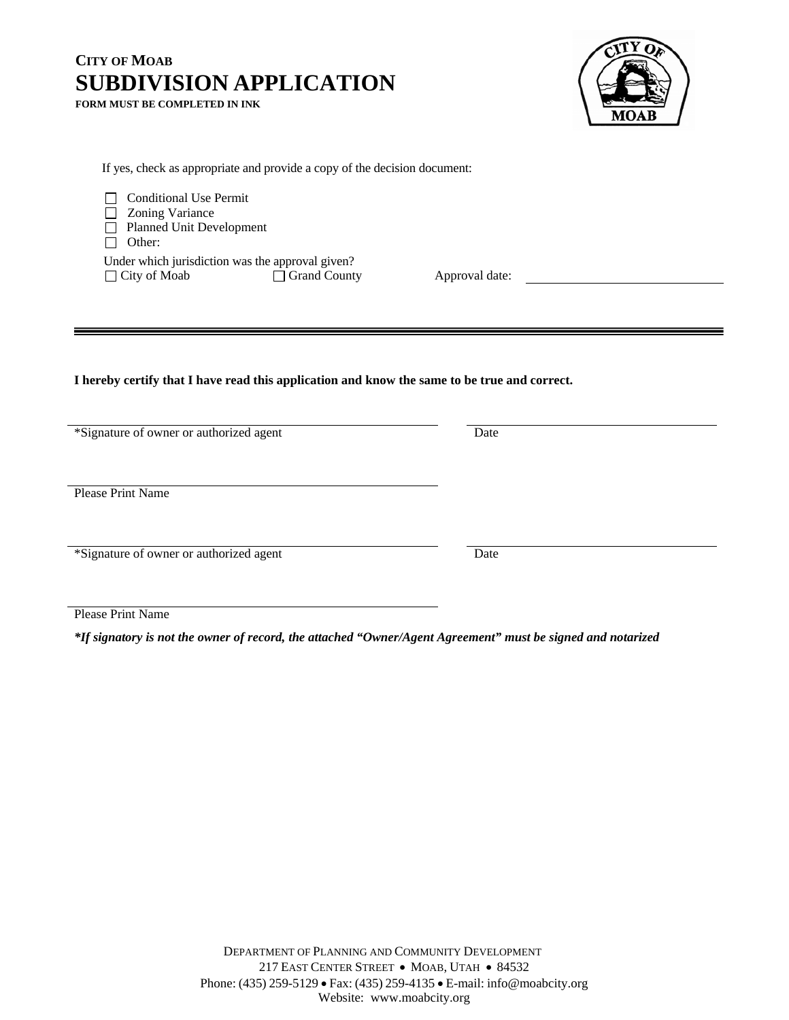**FORM MUST BE COMPLETED IN INK** 



If yes, check as appropriate and provide a copy of the decision document:

Conditional Use Permit **Zoning Variance** □ Planned Unit Development □ Other: Under which jurisdiction was the approval given? □ City of Moab Grand County Approval date:

#### **I hereby certify that I have read this application and know the same to be true and correct.**

\*Signature of owner or authorized agent Date

Please Print Name

\*Signature of owner or authorized agent Date

Please Print Name

*\*If signatory is not the owner of record, the attached "Owner/Agent Agreement" must be signed and notarized*

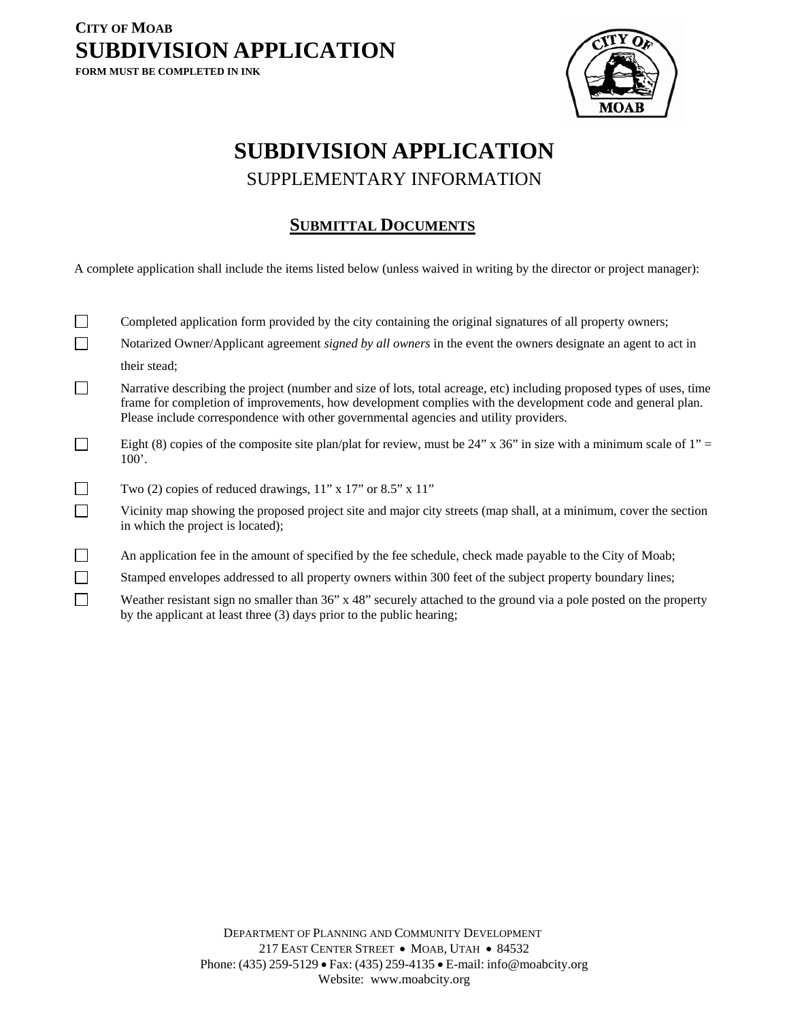### **CITY OF MOAB SUBDIVISION APPLICATION FORM MUST BE COMPLETED IN INK**



## **SUBDIVISION APPLICATION**  SUPPLEMENTARY INFORMATION

### **SUBMITTAL DOCUMENTS**

A complete application shall include the items listed below (unless waived in writing by the director or project manager):

|        | Completed application form provided by the city containing the original signatures of all property owners;                                                                                                                                                                                                                   |
|--------|------------------------------------------------------------------------------------------------------------------------------------------------------------------------------------------------------------------------------------------------------------------------------------------------------------------------------|
|        | Notarized Owner/Applicant agreement <i>signed by all owners</i> in the event the owners designate an agent to act in                                                                                                                                                                                                         |
|        | their stead;                                                                                                                                                                                                                                                                                                                 |
|        | Narrative describing the project (number and size of lots, total acreage, etc) including proposed types of uses, time<br>frame for completion of improvements, how development complies with the development code and general plan.<br>Please include correspondence with other governmental agencies and utility providers. |
|        | Eight (8) copies of the composite site plan/plat for review, must be 24" x 36" in size with a minimum scale of 1" =<br>100'.                                                                                                                                                                                                 |
| $\Box$ | Two (2) copies of reduced drawings, $11$ " x $17$ " or $8.5$ " x $11$ "                                                                                                                                                                                                                                                      |
|        | Vicinity map showing the proposed project site and major city streets (map shall, at a minimum, cover the section<br>in which the project is located);                                                                                                                                                                       |
| $\Box$ | An application fee in the amount of specified by the fee schedule, check made payable to the City of Moab;                                                                                                                                                                                                                   |
| $\Box$ | Stamped envelopes addressed to all property owners within 300 feet of the subject property boundary lines;                                                                                                                                                                                                                   |
|        | Weather resistant sign no smaller than 36" x 48" securely attached to the ground via a pole posted on the property<br>by the applicant at least three (3) days prior to the public hearing;                                                                                                                                  |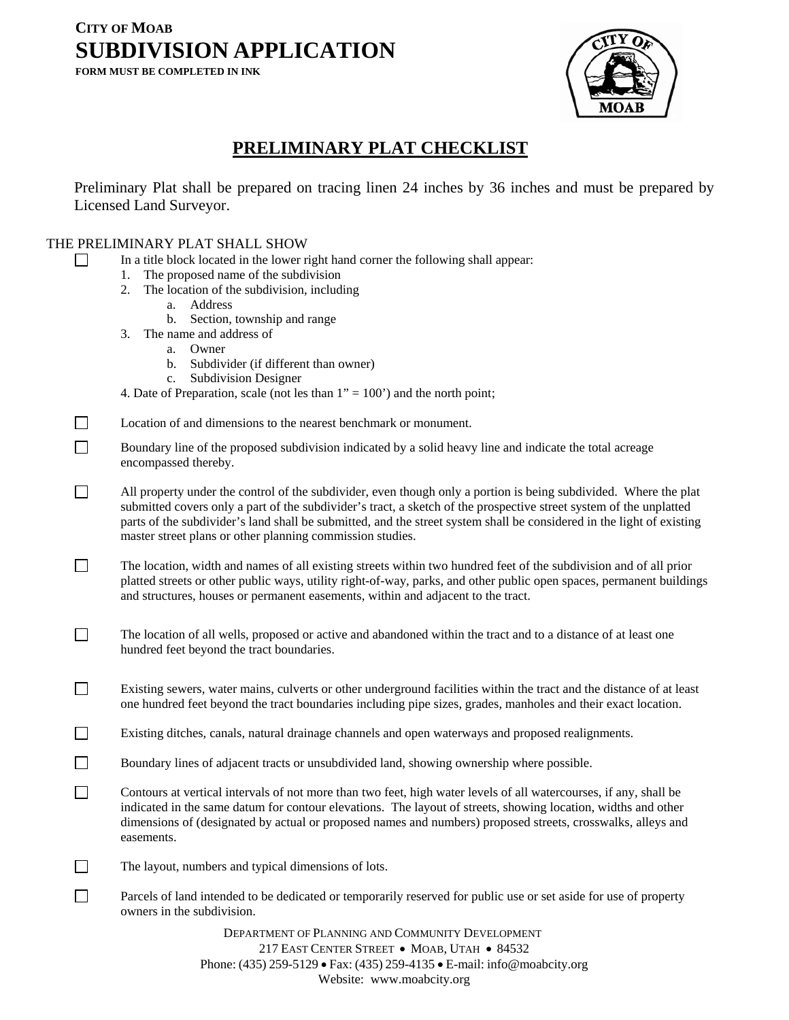**FORM MUST BE COMPLETED IN INK** 



### **PRELIMINARY PLAT CHECKLIST**

Preliminary Plat shall be prepared on tracing linen 24 inches by 36 inches and must be prepared by Licensed Land Surveyor.

### THE PRELIMINARY PLAT SHALL SHOW

- In a title block located in the lower right hand corner the following shall appear:
	- 1. The proposed name of the subdivision
	- 2. The location of the subdivision, including
		- a. Address
		- b. Section, township and range
	- 3. The name and address of
		- a. Owner
		- b. Subdivider (if different than owner)
		- c. Subdivision Designer
	- 4. Date of Preparation, scale (not les than  $1" = 100'$ ) and the north point;
- Location of and dimensions to the nearest benchmark or monument.
- Boundary line of the proposed subdivision indicated by a solid heavy line and indicate the total acreage encompassed thereby.
- All property under the control of the subdivider, even though only a portion is being subdivided. Where the plat submitted covers only a part of the subdivider's tract, a sketch of the prospective street system of the unplatted parts of the subdivider's land shall be submitted, and the street system shall be considered in the light of existing master street plans or other planning commission studies.
- The location, width and names of all existing streets within two hundred feet of the subdivision and of all prior platted streets or other public ways, utility right-of-way, parks, and other public open spaces, permanent buildings and structures, houses or permanent easements, within and adjacent to the tract.
- The location of all wells, proposed or active and abandoned within the tract and to a distance of at least one hundred feet beyond the tract boundaries.
- Existing sewers, water mains, culverts or other underground facilities within the tract and the distance of at least one hundred feet beyond the tract boundaries including pipe sizes, grades, manholes and their exact location.
- Existing ditches, canals, natural drainage channels and open waterways and proposed realignments.
- Boundary lines of adjacent tracts or unsubdivided land, showing ownership where possible.
- Contours at vertical intervals of not more than two feet, high water levels of all watercourses, if any, shall be indicated in the same datum for contour elevations. The layout of streets, showing location, widths and other dimensions of (designated by actual or proposed names and numbers) proposed streets, crosswalks, alleys and easements.
- $\Box$  The layout, numbers and typical dimensions of lots.
- Parcels of land intended to be dedicated or temporarily reserved for public use or set aside for use of property owners in the subdivision.

DEPARTMENT OF PLANNING AND COMMUNITY DEVELOPMENT 217 EAST CENTER STREET • MOAB, UTAH • 84532 Phone: (435) 259-5129 • Fax: (435) 259-4135 • E-mail: info@moabcity.org Website: www.moabcity.org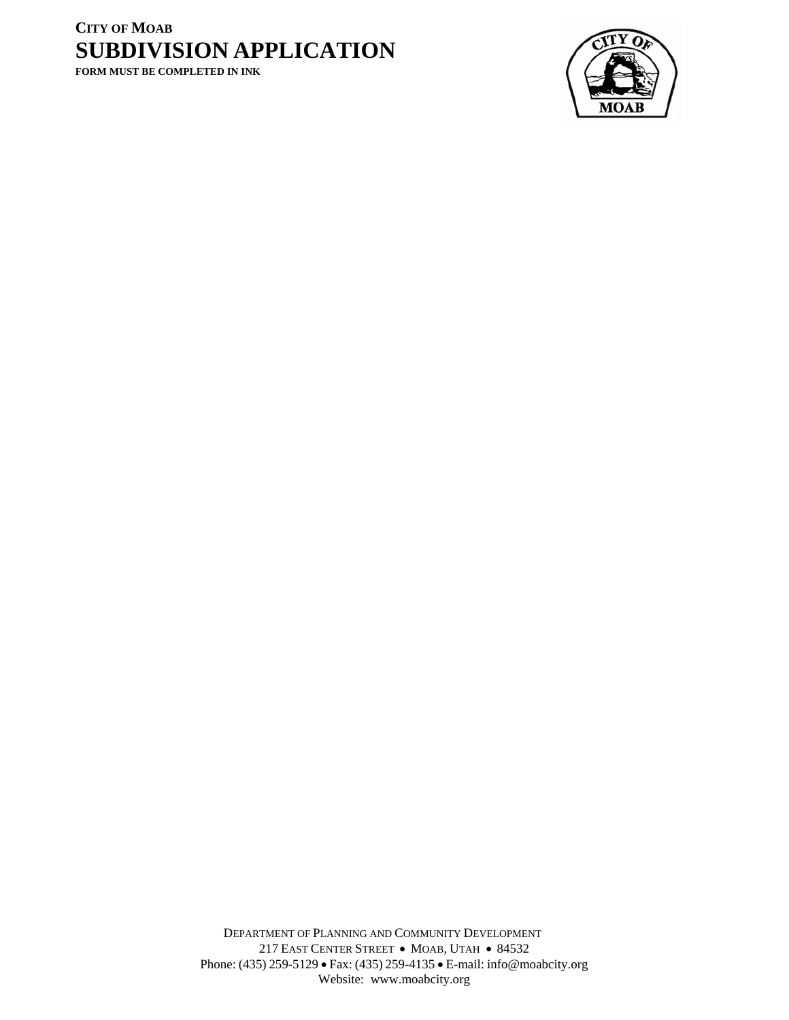**FORM MUST BE COMPLETED IN INK** 



DEPARTMENT OF PLANNING AND COMMUNITY DEVELOPMENT 217 EAST CENTER STREET • MOAB, UTAH • 84532 Phone: (435) 259-5129 • Fax: (435) 259-4135 • E-mail: info@moabcity.org Website: www.moabcity.org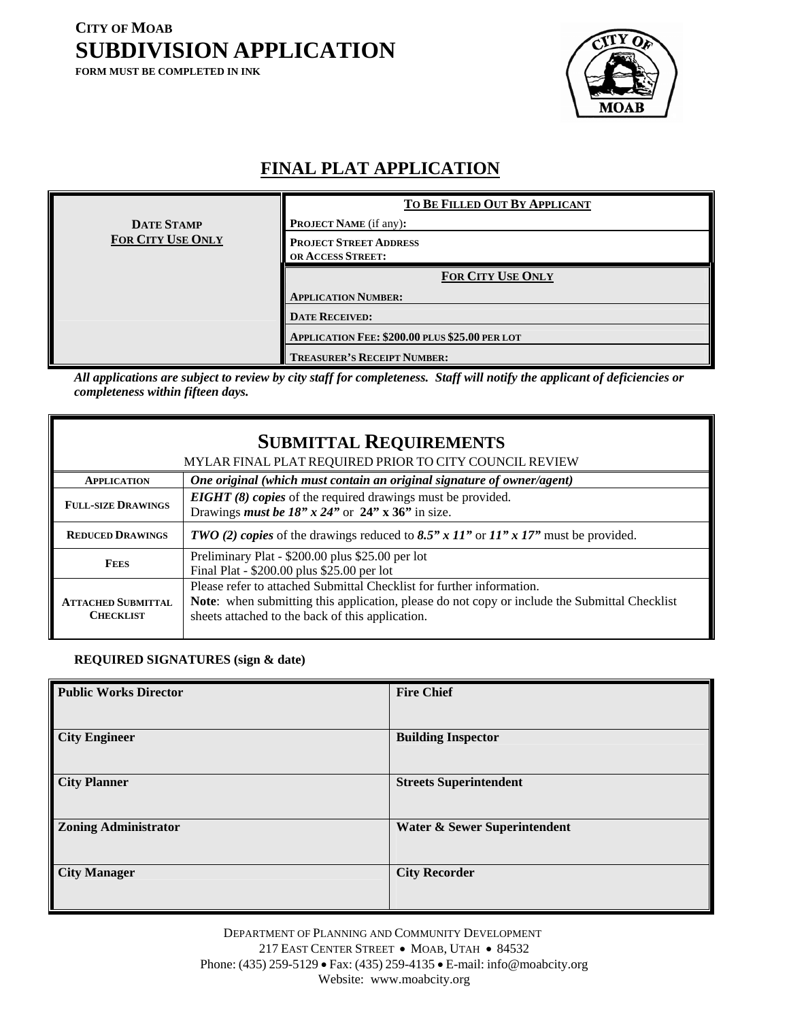**FORM MUST BE COMPLETED IN INK** 



### **FINAL PLAT APPLICATION**

|                          | TO BE FILLED OUT BY APPLICANT                  |
|--------------------------|------------------------------------------------|
| <b>DATE STAMP</b>        | <b>PROJECT NAME</b> (if any):                  |
| <b>FOR CITY USE ONLY</b> | <b>PROJECT STREET ADDRESS</b>                  |
|                          | <b>OR ACCESS STREET:</b>                       |
|                          | <b>FOR CITY USE ONLY</b>                       |
|                          | <b>APPLICATION NUMBER:</b>                     |
|                          | <b>DATE RECEIVED:</b>                          |
|                          | APPLICATION FEE: \$200.00 PLUS \$25.00 PER LOT |
|                          | <b>TREASURER'S RECEIPT NUMBER:</b>             |

*All applications are subject to review by city staff for completeness. Staff will notify the applicant of deficiencies or completeness within fifteen days.* 

|                                               | <b>SUBMITTAL REQUIREMENTS</b>                                                                                                                                                                                                     |
|-----------------------------------------------|-----------------------------------------------------------------------------------------------------------------------------------------------------------------------------------------------------------------------------------|
|                                               | MYLAR FINAL PLAT REQUIRED PRIOR TO CITY COUNCIL REVIEW                                                                                                                                                                            |
| <b>APPLICATION</b>                            | One original (which must contain an original signature of owner/agent)                                                                                                                                                            |
| <b>FULL-SIZE DRAWINGS</b>                     | <b>EIGHT</b> (8) copies of the required drawings must be provided.<br>Drawings <i>must be <math>18" x 24"</math> or</i> $24" x 36"$ in size.                                                                                      |
| <b>REDUCED DRAWINGS</b>                       | TWO (2) copies of the drawings reduced to 8.5" x 11" or $11"$ x 17" must be provided.                                                                                                                                             |
| <b>FEES</b>                                   | Preliminary Plat - \$200.00 plus \$25.00 per lot<br>Final Plat - \$200.00 plus \$25.00 per lot                                                                                                                                    |
| <b>ATTACHED SUBMITTAL</b><br><b>CHECKLIST</b> | Please refer to attached Submittal Checklist for further information.<br><b>Note:</b> when submitting this application, please do not copy or include the Submittal Checklist<br>sheets attached to the back of this application. |

#### **REQUIRED SIGNATURES (sign & date)**

| <b>Public Works Director</b> | <b>Fire Chief</b>             |
|------------------------------|-------------------------------|
| <b>City Engineer</b>         | <b>Building Inspector</b>     |
| <b>City Planner</b>          | <b>Streets Superintendent</b> |
| <b>Zoning Administrator</b>  | Water & Sewer Superintendent  |
| <b>City Manager</b>          | <b>City Recorder</b>          |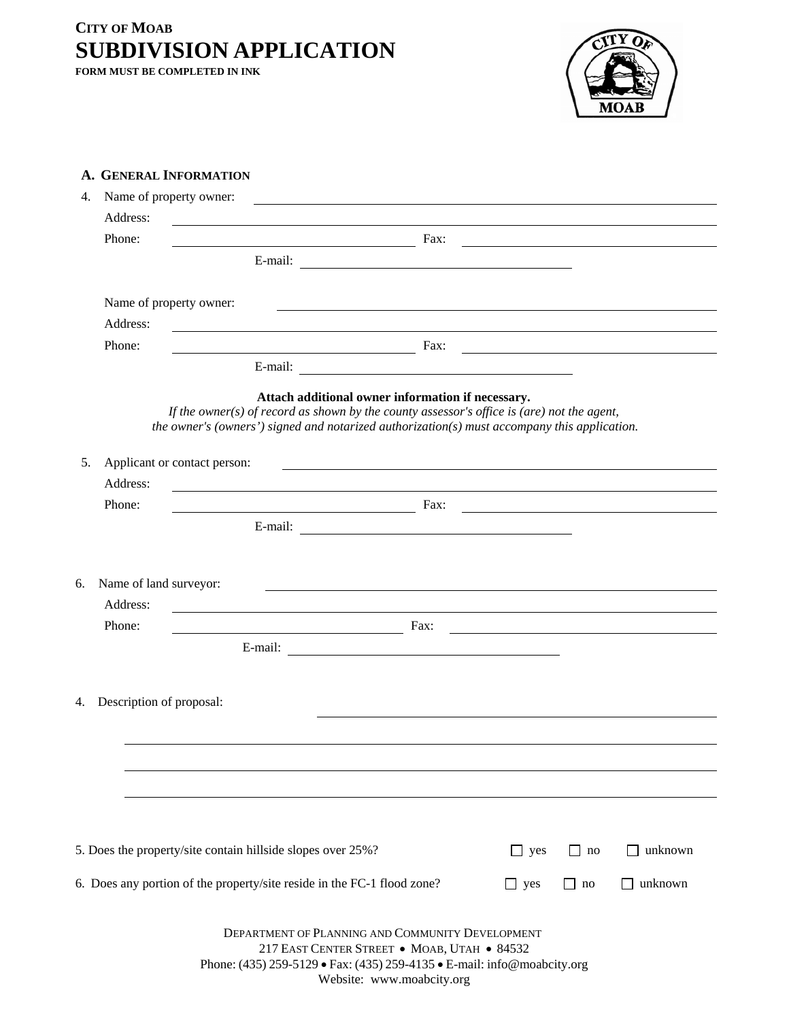**FORM MUST BE COMPLETED IN INK** 



| 4.<br>Address:<br>Phone:     | Name of property owner:                                                                                                                                                                                                                                                                   |           |         |
|------------------------------|-------------------------------------------------------------------------------------------------------------------------------------------------------------------------------------------------------------------------------------------------------------------------------------------|-----------|---------|
|                              |                                                                                                                                                                                                                                                                                           |           |         |
|                              | $\frac{1}{2}$ Fax: $\frac{1}{2}$ Fax: $\frac{1}{2}$ Fax: $\frac{1}{2}$ Fax: $\frac{1}{2}$ Fax: $\frac{1}{2}$ Fax: $\frac{1}{2}$ Fax: $\frac{1}{2}$ Fax: $\frac{1}{2}$ Fax: $\frac{1}{2}$ Fax: $\frac{1}{2}$ Fax: $\frac{1}{2}$ Fax: $\frac{1}{2}$ Fax: $\frac{1}{2}$ Fax: $\frac{1}{2}$ F |           |         |
|                              |                                                                                                                                                                                                                                                                                           |           |         |
|                              | Name of property owner:                                                                                                                                                                                                                                                                   |           |         |
| Address:                     |                                                                                                                                                                                                                                                                                           |           |         |
| Phone:                       | <u>Example 2001 and 2002 and 2003 and 2003 and 2003 and 2003 and 2003 and 2003 and 2003 and 2003 and 2003 and 200</u>                                                                                                                                                                     |           |         |
|                              |                                                                                                                                                                                                                                                                                           |           |         |
|                              | Attach additional owner information if necessary.<br>If the owner(s) of record as shown by the county assessor's office is (are) not the agent,<br>the owner's (owners') signed and notarized authorization(s) must accompany this application.                                           |           |         |
| 5.                           | Applicant or contact person:<br><u> Territoria de la contrada de la contrada de la contrada de la contrada de la contrada de la contrada de la c</u>                                                                                                                                      |           |         |
| Address:                     |                                                                                                                                                                                                                                                                                           |           |         |
| Phone:                       | $\frac{1}{2}$ Fax:                                                                                                                                                                                                                                                                        |           |         |
|                              |                                                                                                                                                                                                                                                                                           |           |         |
| Name of land surveyor:<br>6. |                                                                                                                                                                                                                                                                                           |           |         |
| Address:<br>Phone:           | ,我们也不会有什么。""我们的人,我们也不会有什么?""我们的人,我们也不会有什么?""我们的人,我们也不会有什么?""我们的人,我们也不会有什么?""我们的人<br>$\frac{1}{2}$ Fax:                                                                                                                                                                                    |           |         |
|                              |                                                                                                                                                                                                                                                                                           |           |         |
| Description of proposal:     |                                                                                                                                                                                                                                                                                           |           |         |
|                              |                                                                                                                                                                                                                                                                                           |           |         |
|                              |                                                                                                                                                                                                                                                                                           |           |         |
|                              | 5. Does the property/site contain hillside slopes over 25%?<br>$\Box$ yes                                                                                                                                                                                                                 | $\Box$ no | unknown |

Phone: (435) 259-5129 • Fax: (435) 259-4135 • E-mail: info@moabcity.org

Website: www.moabcity.org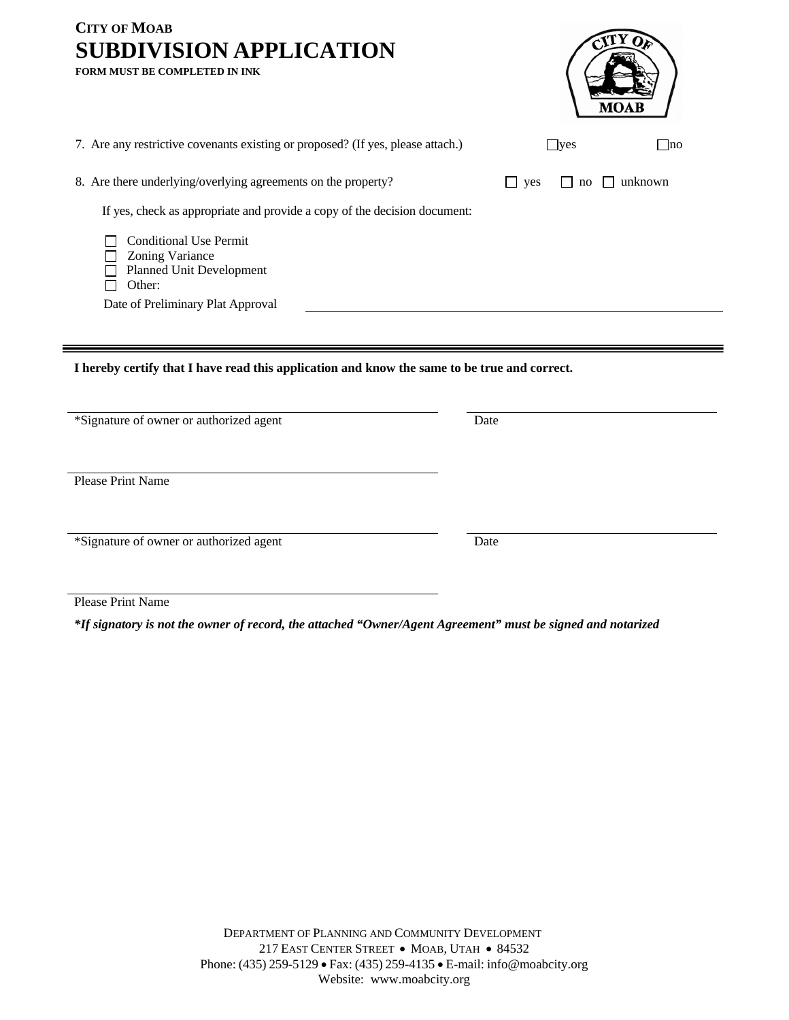| <b>CITY OF MOAB</b><br><b>SUBDIVISION APPLICATION</b><br><b>FORM MUST BE COMPLETED IN INK</b>                                                                                                                                                                                    |            |               |     |
|----------------------------------------------------------------------------------------------------------------------------------------------------------------------------------------------------------------------------------------------------------------------------------|------------|---------------|-----|
| 7. Are any restrictive covenants existing or proposed? (If yes, please attach.)                                                                                                                                                                                                  | $\Box$ yes |               | Ino |
| 8. Are there underlying/overlying agreements on the property?<br>If yes, check as appropriate and provide a copy of the decision document:<br><b>Conditional Use Permit</b><br>Zoning Variance<br><b>Planned Unit Development</b><br>Other:<br>Date of Preliminary Plat Approval | $\Box$ yes | unknown<br>no |     |
| I hereby certify that I have read this application and know the same to be true and correct.                                                                                                                                                                                     |            |               |     |

\*Signature of owner or authorized agent Date

Please Print Name

\*Signature of owner or authorized agent Date

Please Print Name

*\*If signatory is not the owner of record, the attached "Owner/Agent Agreement" must be signed and notarized*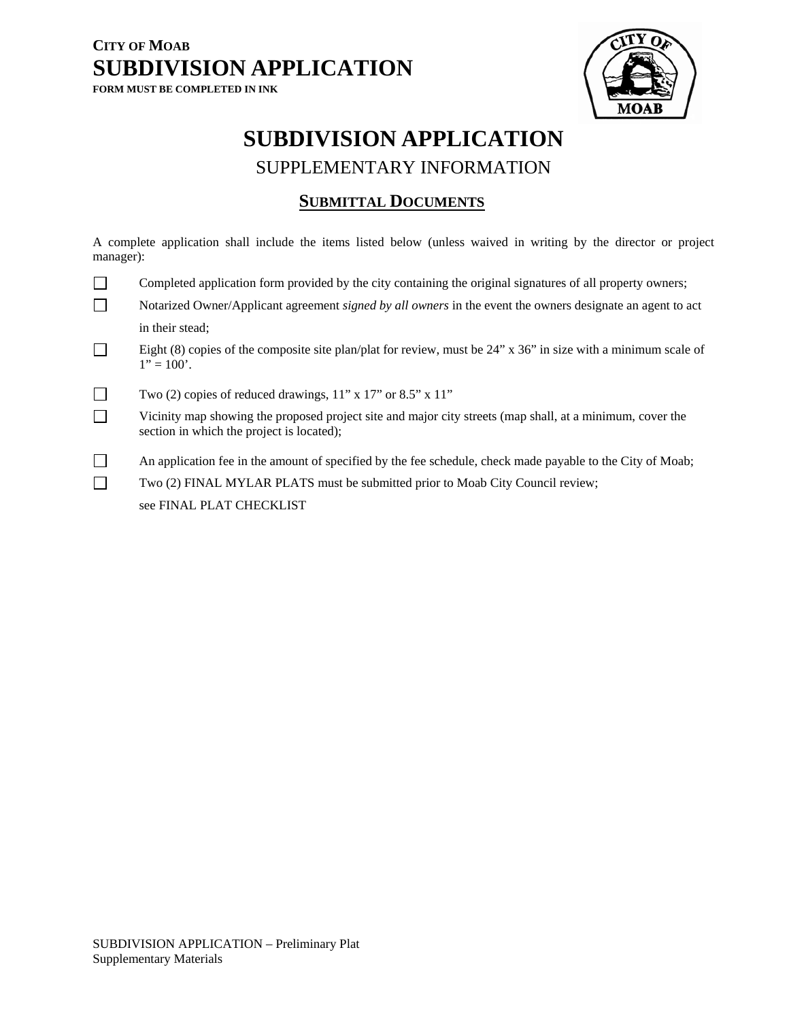

# **SUBDIVISION APPLICATION**

SUPPLEMENTARY INFORMATION

### **SUBMITTAL DOCUMENTS**

A complete application shall include the items listed below (unless waived in writing by the director or project manager):

| Completed application form provided by the city containing the original signatures of all property owners;                            |
|---------------------------------------------------------------------------------------------------------------------------------------|
| Notarized Owner/Applicant agreement <i>signed by all owners</i> in the event the owners designate an agent to act                     |
| in their stead:                                                                                                                       |
| Eight (8) copies of the composite site plan/plat for review, must be $24$ " x $36$ " in size with a minimum scale of<br>$1" = 100'$ . |
|                                                                                                                                       |

Two (2) copies of reduced drawings,  $11$ " x  $17$ " or  $8.5$ " x  $11$ "

 Vicinity map showing the proposed project site and major city streets (map shall, at a minimum, cover the section in which the project is located);

An application fee in the amount of specified by the fee schedule, check made payable to the City of Moab;

Two (2) FINAL MYLAR PLATS must be submitted prior to Moab City Council review;

see FINAL PLAT CHECKLIST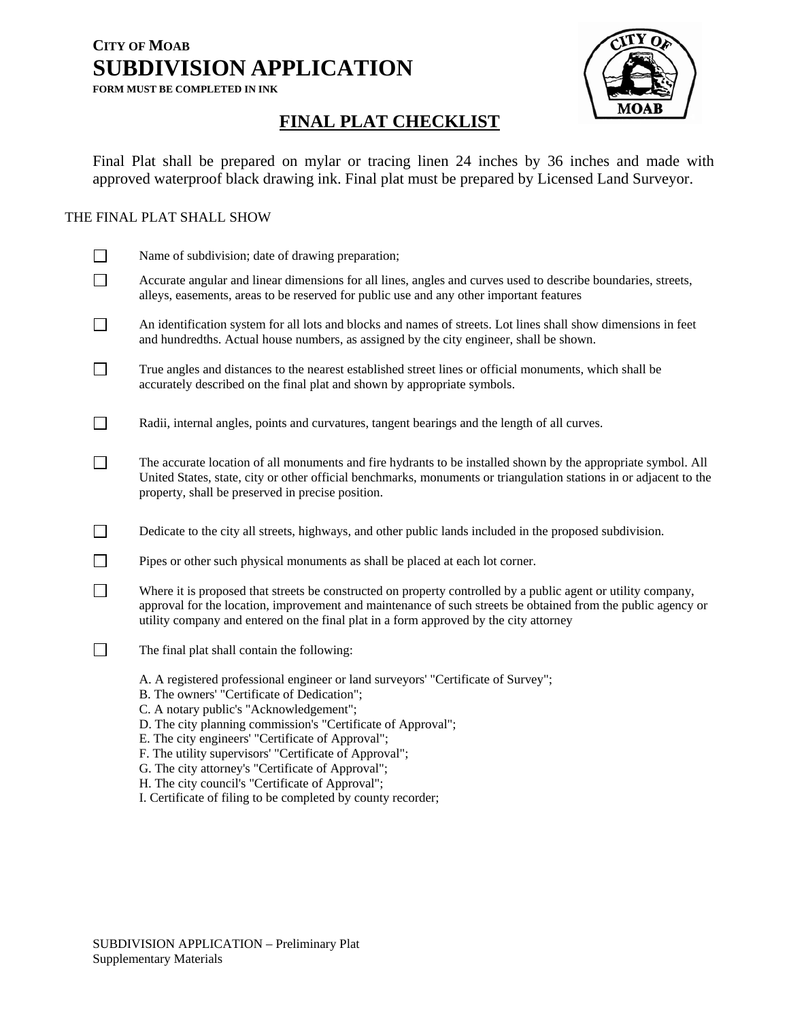

### **FINAL PLAT CHECKLIST**

Final Plat shall be prepared on mylar or tracing linen 24 inches by 36 inches and made with approved waterproof black drawing ink. Final plat must be prepared by Licensed Land Surveyor.

### THE FINAL PLAT SHALL SHOW

|        | Name of subdivision; date of drawing preparation;                                                                                                                                                                                                                                                                                                                                                                                                                                                                                   |
|--------|-------------------------------------------------------------------------------------------------------------------------------------------------------------------------------------------------------------------------------------------------------------------------------------------------------------------------------------------------------------------------------------------------------------------------------------------------------------------------------------------------------------------------------------|
| $\Box$ | Accurate angular and linear dimensions for all lines, angles and curves used to describe boundaries, streets,<br>alleys, easements, areas to be reserved for public use and any other important features                                                                                                                                                                                                                                                                                                                            |
| $\Box$ | An identification system for all lots and blocks and names of streets. Lot lines shall show dimensions in feet<br>and hundredths. Actual house numbers, as assigned by the city engineer, shall be shown.                                                                                                                                                                                                                                                                                                                           |
| $\Box$ | True angles and distances to the nearest established street lines or official monuments, which shall be<br>accurately described on the final plat and shown by appropriate symbols.                                                                                                                                                                                                                                                                                                                                                 |
| $\Box$ | Radii, internal angles, points and curvatures, tangent bearings and the length of all curves.                                                                                                                                                                                                                                                                                                                                                                                                                                       |
|        | The accurate location of all monuments and fire hydrants to be installed shown by the appropriate symbol. All<br>United States, state, city or other official benchmarks, monuments or triangulation stations in or adjacent to the<br>property, shall be preserved in precise position.                                                                                                                                                                                                                                            |
| $\Box$ | Dedicate to the city all streets, highways, and other public lands included in the proposed subdivision.                                                                                                                                                                                                                                                                                                                                                                                                                            |
| $\Box$ | Pipes or other such physical monuments as shall be placed at each lot corner.                                                                                                                                                                                                                                                                                                                                                                                                                                                       |
| $\Box$ | Where it is proposed that streets be constructed on property controlled by a public agent or utility company,<br>approval for the location, improvement and maintenance of such streets be obtained from the public agency or<br>utility company and entered on the final plat in a form approved by the city attorney                                                                                                                                                                                                              |
|        | The final plat shall contain the following:                                                                                                                                                                                                                                                                                                                                                                                                                                                                                         |
|        | A. A registered professional engineer or land surveyors' "Certificate of Survey";<br>B. The owners' "Certificate of Dedication";<br>C. A notary public's "Acknowledgement";<br>D. The city planning commission's "Certificate of Approval";<br>E. The city engineers' "Certificate of Approval";<br>F. The utility supervisors' "Certificate of Approval";<br>G. The city attorney's "Certificate of Approval";<br>H. The city council's "Certificate of Approval";<br>I. Certificate of filing to be completed by county recorder; |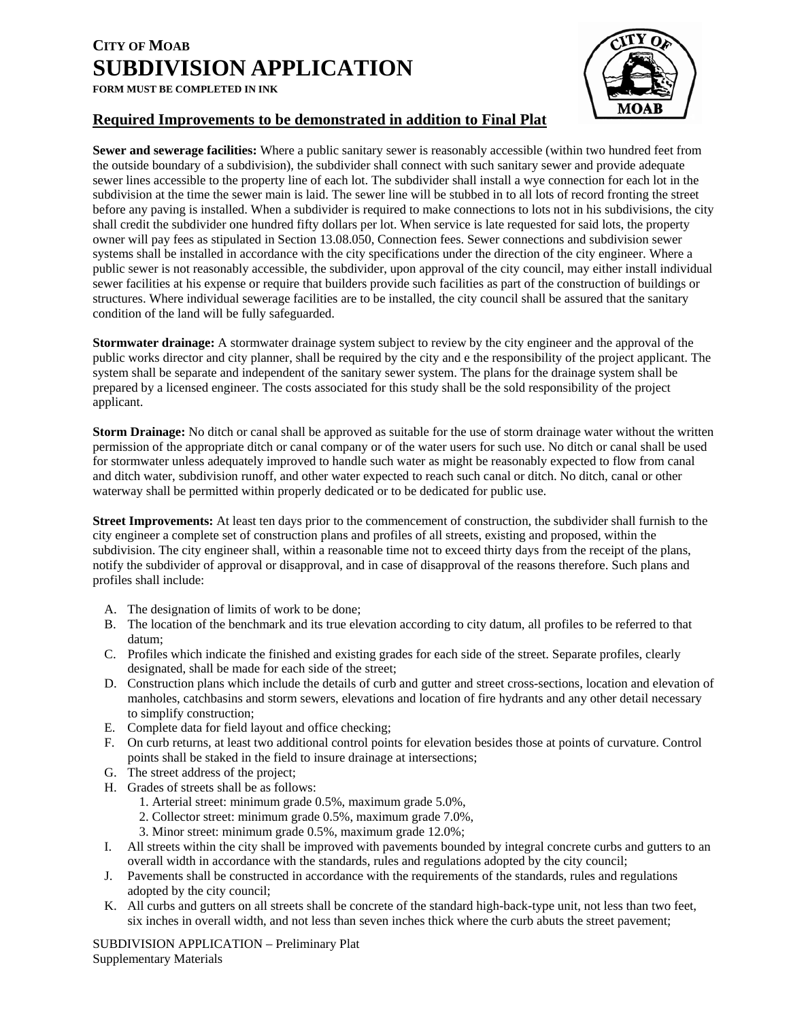### **Required Improvements to be demonstrated in addition to Final Plat**

**Sewer and sewerage facilities:** Where a public sanitary sewer is reasonably accessible (within two hundred feet from the outside boundary of a subdivision), the subdivider shall connect with such sanitary sewer and provide adequate sewer lines accessible to the property line of each lot. The subdivider shall install a wye connection for each lot in the subdivision at the time the sewer main is laid. The sewer line will be stubbed in to all lots of record fronting the street before any paving is installed. When a subdivider is required to make connections to lots not in his subdivisions, the city shall credit the subdivider one hundred fifty dollars per lot. When service is late requested for said lots, the property owner will pay fees as stipulated in Section 13.08.050, Connection fees. Sewer connections and subdivision sewer systems shall be installed in accordance with the city specifications under the direction of the city engineer. Where a public sewer is not reasonably accessible, the subdivider, upon approval of the city council, may either install individual sewer facilities at his expense or require that builders provide such facilities as part of the construction of buildings or structures. Where individual sewerage facilities are to be installed, the city council shall be assured that the sanitary condition of the land will be fully safeguarded.

**Stormwater drainage:** A stormwater drainage system subject to review by the city engineer and the approval of the public works director and city planner, shall be required by the city and e the responsibility of the project applicant. The system shall be separate and independent of the sanitary sewer system. The plans for the drainage system shall be prepared by a licensed engineer. The costs associated for this study shall be the sold responsibility of the project applicant.

**Storm Drainage:** No ditch or canal shall be approved as suitable for the use of storm drainage water without the written permission of the appropriate ditch or canal company or of the water users for such use. No ditch or canal shall be used for stormwater unless adequately improved to handle such water as might be reasonably expected to flow from canal and ditch water, subdivision runoff, and other water expected to reach such canal or ditch. No ditch, canal or other waterway shall be permitted within properly dedicated or to be dedicated for public use.

**Street Improvements:** At least ten days prior to the commencement of construction, the subdivider shall furnish to the city engineer a complete set of construction plans and profiles of all streets, existing and proposed, within the subdivision. The city engineer shall, within a reasonable time not to exceed thirty days from the receipt of the plans, notify the subdivider of approval or disapproval, and in case of disapproval of the reasons therefore. Such plans and profiles shall include:

- A. The designation of limits of work to be done;
- B. The location of the benchmark and its true elevation according to city datum, all profiles to be referred to that datum;
- C. Profiles which indicate the finished and existing grades for each side of the street. Separate profiles, clearly designated, shall be made for each side of the street;
- D. Construction plans which include the details of curb and gutter and street cross-sections, location and elevation of manholes, catchbasins and storm sewers, elevations and location of fire hydrants and any other detail necessary to simplify construction;
- E. Complete data for field layout and office checking;
- F. On curb returns, at least two additional control points for elevation besides those at points of curvature. Control points shall be staked in the field to insure drainage at intersections;
- G. The street address of the project;
- H. Grades of streets shall be as follows:
	- 1. Arterial street: minimum grade 0.5%, maximum grade 5.0%,
	- 2. Collector street: minimum grade 0.5%, maximum grade 7.0%,
	- 3. Minor street: minimum grade 0.5%, maximum grade 12.0%;
- I. All streets within the city shall be improved with pavements bounded by integral concrete curbs and gutters to an overall width in accordance with the standards, rules and regulations adopted by the city council;
- J. Pavements shall be constructed in accordance with the requirements of the standards, rules and regulations adopted by the city council;
- K. All curbs and gutters on all streets shall be concrete of the standard high-back-type unit, not less than two feet, six inches in overall width, and not less than seven inches thick where the curb abuts the street pavement;

SUBDIVISION APPLICATION – Preliminary Plat Supplementary Materials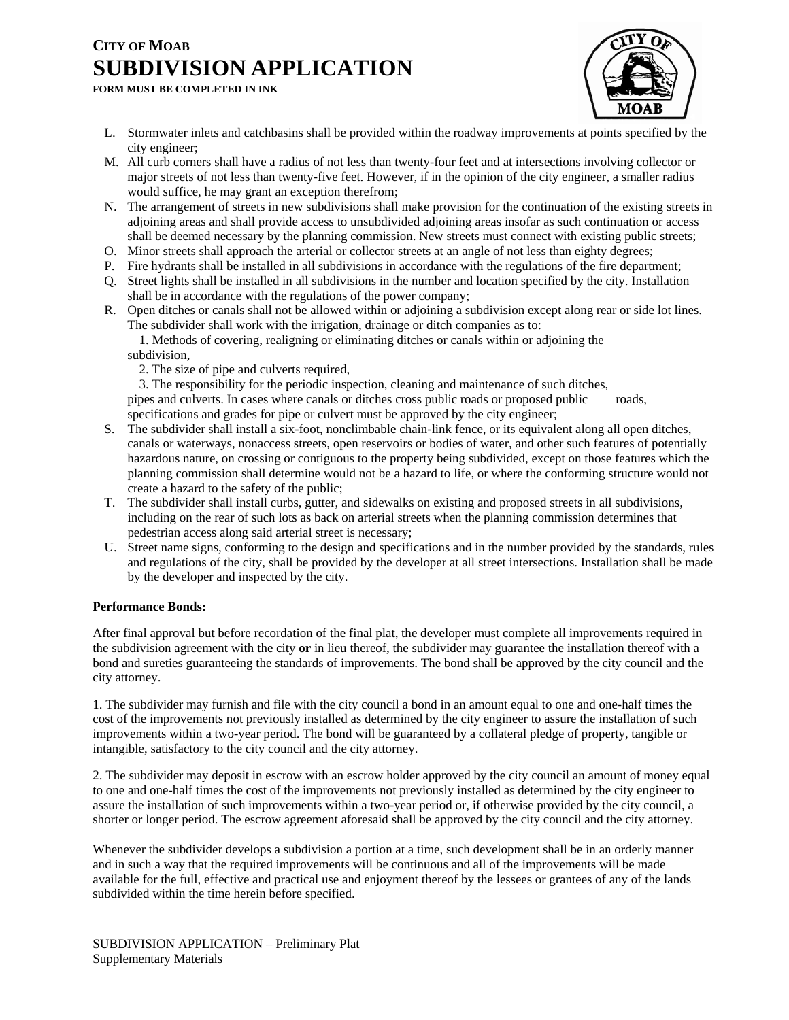

- - L. Stormwater inlets and catchbasins shall be provided within the roadway improvements at points specified by the city engineer;
	- M. All curb corners shall have a radius of not less than twenty-four feet and at intersections involving collector or major streets of not less than twenty-five feet. However, if in the opinion of the city engineer, a smaller radius would suffice, he may grant an exception therefrom;
	- N. The arrangement of streets in new subdivisions shall make provision for the continuation of the existing streets in adjoining areas and shall provide access to unsubdivided adjoining areas insofar as such continuation or access shall be deemed necessary by the planning commission. New streets must connect with existing public streets;
	- O. Minor streets shall approach the arterial or collector streets at an angle of not less than eighty degrees;
	- P. Fire hydrants shall be installed in all subdivisions in accordance with the regulations of the fire department;
	- Q. Street lights shall be installed in all subdivisions in the number and location specified by the city. Installation shall be in accordance with the regulations of the power company;
	- R. Open ditches or canals shall not be allowed within or adjoining a subdivision except along rear or side lot lines. The subdivider shall work with the irrigation, drainage or ditch companies as to:

 1. Methods of covering, realigning or eliminating ditches or canals within or adjoining the subdivision,

- 2. The size of pipe and culverts required,
- 3. The responsibility for the periodic inspection, cleaning and maintenance of such ditches,

pipes and culverts. In cases where canals or ditches cross public roads or proposed public roads, specifications and grades for pipe or culvert must be approved by the city engineer;

- S. The subdivider shall install a six-foot, nonclimbable chain-link fence, or its equivalent along all open ditches, canals or waterways, nonaccess streets, open reservoirs or bodies of water, and other such features of potentially hazardous nature, on crossing or contiguous to the property being subdivided, except on those features which the planning commission shall determine would not be a hazard to life, or where the conforming structure would not create a hazard to the safety of the public;
- T. The subdivider shall install curbs, gutter, and sidewalks on existing and proposed streets in all subdivisions, including on the rear of such lots as back on arterial streets when the planning commission determines that pedestrian access along said arterial street is necessary;
- U. Street name signs, conforming to the design and specifications and in the number provided by the standards, rules and regulations of the city, shall be provided by the developer at all street intersections. Installation shall be made by the developer and inspected by the city.

#### **Performance Bonds:**

After final approval but before recordation of the final plat, the developer must complete all improvements required in the subdivision agreement with the city **or** in lieu thereof, the subdivider may guarantee the installation thereof with a bond and sureties guaranteeing the standards of improvements. The bond shall be approved by the city council and the city attorney.

1. The subdivider may furnish and file with the city council a bond in an amount equal to one and one-half times the cost of the improvements not previously installed as determined by the city engineer to assure the installation of such improvements within a two-year period. The bond will be guaranteed by a collateral pledge of property, tangible or intangible, satisfactory to the city council and the city attorney.

2. The subdivider may deposit in escrow with an escrow holder approved by the city council an amount of money equal to one and one-half times the cost of the improvements not previously installed as determined by the city engineer to assure the installation of such improvements within a two-year period or, if otherwise provided by the city council, a shorter or longer period. The escrow agreement aforesaid shall be approved by the city council and the city attorney.

Whenever the subdivider develops a subdivision a portion at a time, such development shall be in an orderly manner and in such a way that the required improvements will be continuous and all of the improvements will be made available for the full, effective and practical use and enjoyment thereof by the lessees or grantees of any of the lands subdivided within the time herein before specified.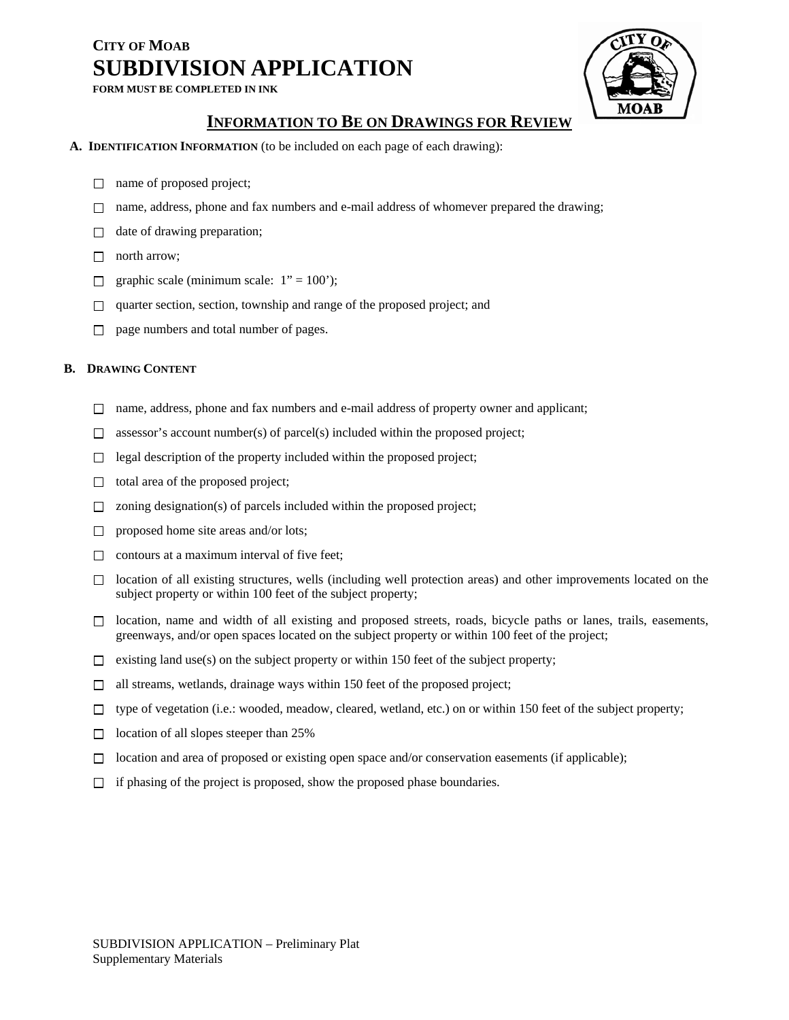

### **INFORMATION TO BE ON DRAWINGS FOR REVIEW**

- **A. IDENTIFICATION INFORMATION** (to be included on each page of each drawing):
	- □ name of proposed project;
	- $\Box$  name, address, phone and fax numbers and e-mail address of whomever prepared the drawing;
	- $\Box$  date of drawing preparation;
	- □ north arrow;
	- graphic scale (minimum scale:  $1" = 100$ );  $\Box$
	- quarter section, section, township and range of the proposed project; and  $\Box$
	- page numbers and total number of pages.  $\Box$

#### **B. DRAWING CONTENT**

- $\Box$  name, address, phone and fax numbers and e-mail address of property owner and applicant;
- $\Box$  assessor's account number(s) of parcel(s) included within the proposed project;
- $\Box$  legal description of the property included within the proposed project;
- $\Box$  total area of the proposed project;
- $\Box$  zoning designation(s) of parcels included within the proposed project;
- $\Box$  proposed home site areas and/or lots;
- $\Box$  contours at a maximum interval of five feet;
- $\Box$  location of all existing structures, wells (including well protection areas) and other improvements located on the subject property or within 100 feet of the subject property;
- $\Box$  location, name and width of all existing and proposed streets, roads, bicycle paths or lanes, trails, easements, greenways, and/or open spaces located on the subject property or within 100 feet of the project;
- $\Box$  existing land use(s) on the subject property or within 150 feet of the subject property;
- $\Box$  all streams, wetlands, drainage ways within 150 feet of the proposed project;
- $\Box$  type of vegetation (i.e.: wooded, meadow, cleared, wetland, etc.) on or within 150 feet of the subject property;
- $\Box$  location of all slopes steeper than 25%
- $\Box$  location and area of proposed or existing open space and/or conservation easements (if applicable);
- $\Box$  if phasing of the project is proposed, show the proposed phase boundaries.